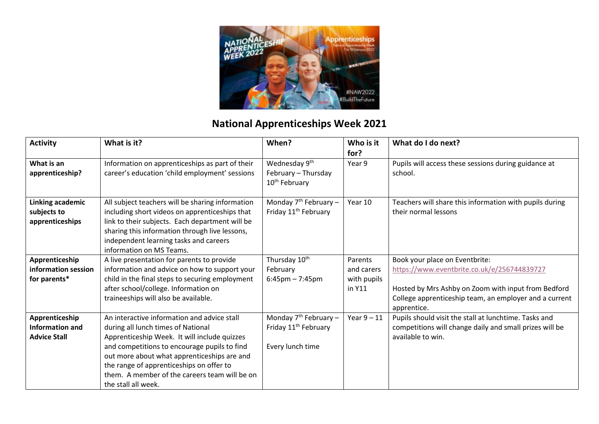

## **National Apprenticeships Week 2021**

| <b>Activity</b>                                                 | What is it?                                                                                                                                                                                                                                                                                                                                          | When?                                                                           | Who is it<br>for?                              | What do I do next?                                                                                                                                                                                            |
|-----------------------------------------------------------------|------------------------------------------------------------------------------------------------------------------------------------------------------------------------------------------------------------------------------------------------------------------------------------------------------------------------------------------------------|---------------------------------------------------------------------------------|------------------------------------------------|---------------------------------------------------------------------------------------------------------------------------------------------------------------------------------------------------------------|
| What is an<br>apprenticeship?                                   | Information on apprenticeships as part of their<br>career's education 'child employment' sessions                                                                                                                                                                                                                                                    | Wednesday 9 <sup>th</sup><br>February - Thursday<br>10 <sup>th</sup> February   | Year 9                                         | Pupils will access these sessions during guidance at<br>school.                                                                                                                                               |
| Linking academic<br>subjects to<br>apprenticeships              | All subject teachers will be sharing information<br>including short videos on apprenticeships that<br>link to their subjects. Each department will be<br>sharing this information through live lessons,<br>independent learning tasks and careers<br>information on MS Teams.                                                                        | Monday $7th$ February –<br>Friday 11 <sup>th</sup> February                     | Year 10                                        | Teachers will share this information with pupils during<br>their normal lessons                                                                                                                               |
| Apprenticeship<br>information session<br>for parents*           | A live presentation for parents to provide<br>information and advice on how to support your<br>child in the final steps to securing employment<br>after school/college. Information on<br>traineeships will also be available.                                                                                                                       | Thursday 10 <sup>th</sup><br>February<br>$6:45 \text{pm} - 7:45 \text{pm}$      | Parents<br>and carers<br>with pupils<br>in Y11 | Book your place on Eventbrite:<br>https://www.eventbrite.co.uk/e/256744839727<br>Hosted by Mrs Ashby on Zoom with input from Bedford<br>College apprenticeship team, an employer and a current<br>apprentice. |
| Apprenticeship<br><b>Information and</b><br><b>Advice Stall</b> | An interactive information and advice stall<br>during all lunch times of National<br>Apprenticeship Week. It will include quizzes<br>and competitions to encourage pupils to find<br>out more about what apprenticeships are and<br>the range of apprenticeships on offer to<br>them. A member of the careers team will be on<br>the stall all week. | Monday $7th$ February –<br>Friday 11 <sup>th</sup> February<br>Every lunch time | Year $9-11$                                    | Pupils should visit the stall at lunchtime. Tasks and<br>competitions will change daily and small prizes will be<br>available to win.                                                                         |